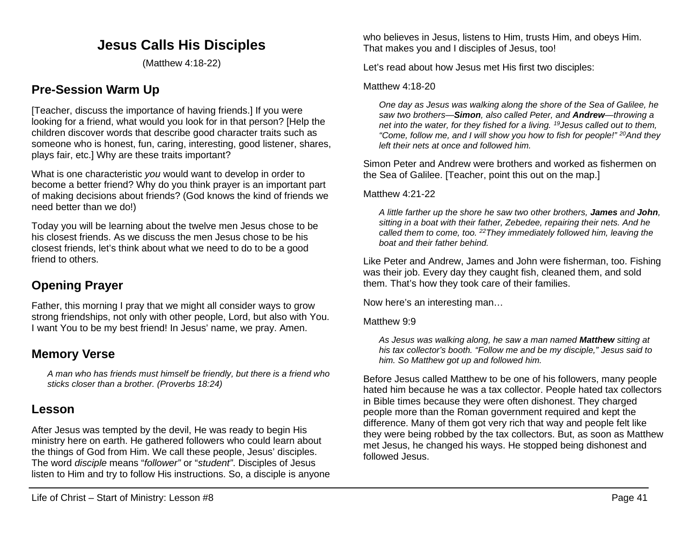# **Jesus Calls His Disciples**

(Matthew 4:18-22)

# **Pre-Session Warm Up**

[Teacher, discuss the importance of having friends.] If you were looking for a friend, what would you look for in that person? [Help the children discover words that describe good character traits such as someone who is honest, fun, caring, interesting, good listener, shares, plays fair, etc.] Why are these traits important?

What is one characteristic *you* would want to develop in order to become a better friend? Why do you think prayer is an important part of making decisions about friends? (God knows the kind of friends we need better than we do!)

Today you will be learning about the twelve men Jesus chose to be his closest friends. As we discuss the men Jesus chose to be his closest friends, let's think about what we need to do to be a good friend to others.

## **Opening Prayer**

Father, this morning I pray that we might all consider ways to grow strong friendships, not only with other people, Lord, but also with You. I want You to be my best friend! In Jesus' name, we pray. Amen.

### **Memory Verse**

*A man who has friends must himself be friendly, but there is a friend who sticks closer than a brother. (Proverbs 18:24)*

### **Lesson**

After Jesus was tempted by the devil, He was ready to begin His ministry here on earth. He gathered followers who could learn about the things of God from Him. We call these people, Jesus' disciples. The word *disciple* means "*follower"* or "*student"*. Disciples of Jesus listen to Him and try to follow His instructions. So, a disciple is anyone who believes in Jesus, listens to Him, trusts Him, and obeys Him. That makes you and I disciples of Jesus, too!

Let's read about how Jesus met His first two disciples:

#### Matthew 4:18-20

*One day as Jesus was walking along the shore of the Sea of Galilee, he saw two brothers—Simon, also called Peter, and Andrew—throwing a net into the water, for they fished for a living. 19Jesus called out to them, "Come, follow me, and I will show you how to fish for people!" 20And they left their nets at once and followed him.*

Simon Peter and Andrew were brothers and worked as fishermen on the Sea of Galilee. [Teacher, point this out on the map.]

Matthew 4:21-22

*A little farther up the shore he saw two other brothers, James and John, sitting in a boat with their father, Zebedee, repairing their nets. And he called them to come, too. 22They immediately followed him, leaving the boat and their father behind.*

Like Peter and Andrew, James and John were fisherman, too. Fishing was their job. Every day they caught fish, cleaned them, and sold them. That's how they took care of their families.

Now here's an interesting man…

#### Matthew 9:9

*As Jesus was walking along, he saw a man named Matthew sitting at his tax collector's booth. "Follow me and be my disciple," Jesus said to him. So Matthew got up and followed him.*

Before Jesus called Matthew to be one of his followers, many people hated him because he was a tax collector. People hated tax collectors in Bible times because they were often dishonest. They charged people more than the Roman government required and kept the difference. Many of them got very rich that way and people felt like they were being robbed by the tax collectors. But, as soon as Matthew met Jesus, he changed his ways. He stopped being dishonest and followed Jesus.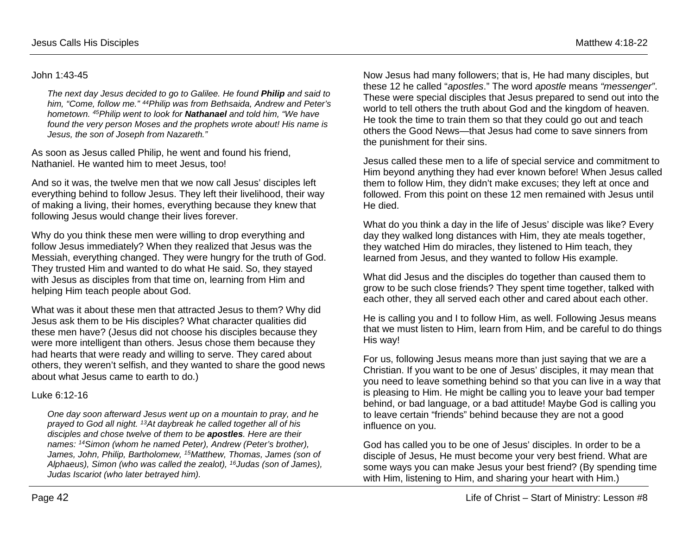#### John 1:43-45

*The next day Jesus decided to go to Galilee. He found Philip and said to him, "Come, follow me." 44Philip was from Bethsaida, Andrew and Peter's hometown. 45Philip went to look for Nathanael and told him, "We have found the very person Moses and the prophets wrote about! His name is Jesus, the son of Joseph from Nazareth."*

As soon as Jesus called Philip, he went and found his friend, Nathaniel. He wanted him to meet Jesus, too!

And so it was, the twelve men that we now call Jesus' disciples left everything behind to follow Jesus. They left their livelihood, their way of making a living, their homes, everything because they knew that following Jesus would change their lives forever.

Why do you think these men were willing to drop everything and follow Jesus immediately? When they realized that Jesus was the Messiah, everything changed. They were hungry for the truth of God. They trusted Him and wanted to do what He said. So, they stayed with Jesus as disciples from that time on, learning from Him and helping Him teach people about God.

What was it about these men that attracted Jesus to them? Why did Jesus ask them to be His disciples? What character qualities did these men have? (Jesus did not choose his disciples because they were more intelligent than others. Jesus chose them because they had hearts that were ready and willing to serve. They cared about others, they weren't selfish, and they wanted to share the good news about what Jesus came to earth to do.)

#### Luke 6:12-16

*One day soon afterward Jesus went up on a mountain to pray, and he prayed to God all night. 13At daybreak he called together all of his disciples and chose twelve of them to be apostles. Here are their names: 14Simon (whom he named Peter), Andrew (Peter's brother), James, John, Philip, Bartholomew, 15Matthew, Thomas, James (son of Alphaeus), Simon (who was called the zealot), 16Judas (son of James), Judas Iscariot (who later betrayed him).*

Now Jesus had many followers; that is, He had many disciples, but these 12 he called "*apostles*." The word *apostle* means *"messenger"*. These were special disciples that Jesus prepared to send out into the world to tell others the truth about God and the kingdom of heaven. He took the time to train them so that they could go out and teach others the Good News—that Jesus had come to save sinners from the punishment for their sins.

Jesus called these men to a life of special service and commitment to Him beyond anything they had ever known before! When Jesus called them to follow Him, they didn't make excuses; they left at once and followed. From this point on these 12 men remained with Jesus until He died.

What do you think a day in the life of Jesus' disciple was like? Every day they walked long distances with Him, they ate meals together, they watched Him do miracles, they listened to Him teach, they learned from Jesus, and they wanted to follow His example.

What did Jesus and the disciples do together than caused them to grow to be such close friends? They spent time together, talked with each other, they all served each other and cared about each other.

He is calling you and I to follow Him, as well. Following Jesus means that we must listen to Him, learn from Him, and be careful to do things His way!

For us, following Jesus means more than just saying that we are a Christian. If you want to be one of Jesus' disciples, it may mean that you need to leave something behind so that you can live in a way that is pleasing to Him. He might be calling you to leave your bad temper behind, or bad language, or a bad attitude! Maybe God is calling you to leave certain "friends" behind because they are not a good influence on you.

God has called you to be one of Jesus' disciples. In order to be a disciple of Jesus, He must become your very best friend. What are some ways you can make Jesus your best friend? (By spending time with Him, listening to Him, and sharing your heart with Him.)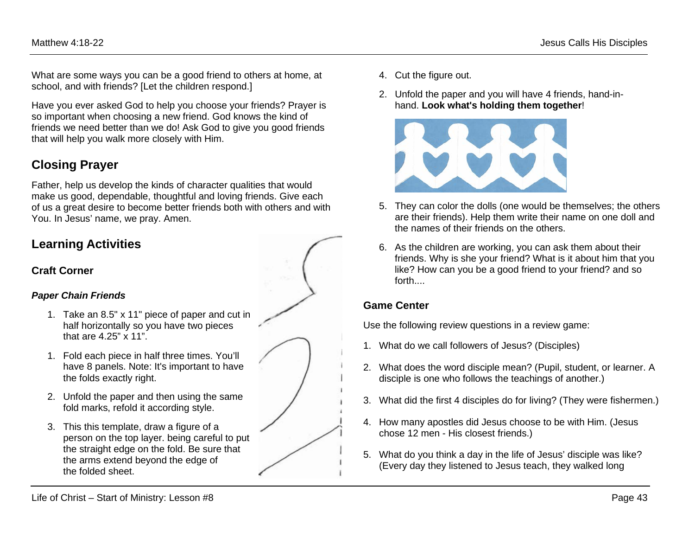What are some ways you can be a good friend to others at home, at school, and with friends? [Let the children respond.]

Have you ever asked God to help you choose your friends? Prayer is so important when choosing a new friend. God knows the kind of friends we need better than we do! Ask God to give you good friends that will help you walk more closely with Him.

## **Closing Prayer**

Father, help us develop the kinds of character qualities that would make us good, dependable, thoughtful and loving friends. Give each of us a great desire to become better friends both with others and with You. In Jesus' name, we pray. Amen.

### **Learning Activities**

### **Craft Corner**

#### *Paper Chain Friends*

- 1. Take an 8.5" x 11" piece of paper and cut in half horizontally so you have two pieces that are 4.25" x 11".
- 1. Fold each piece in half three times. You'll have 8 panels. Note: It's important to have the folds exactly right.
- 2. Unfold the paper and then using the same fold marks, refold it according style.
- 3. This this template, draw a figure of a person on the top layer. being careful to put the straight edge on the fold. Be sure that the arms extend beyond the edge of the folded sheet.
- 4. Cut the figure out.
- 2. Unfold the paper and you will have 4 friends, hand-inhand. **Look what's holding them together**!



- 5. They can color the dolls (one would be themselves; the others are their friends). Help them write their name on one doll and the names of their friends on the others.
- 6. As the children are working, you can ask them about their friends. Why is she your friend? What is it about him that you like? How can you be a good friend to your friend? and so forth....

### **Game Center**

Use the following review questions in a review game:

- 1. What do we call followers of Jesus? (Disciples)
- 2. What does the word disciple mean? (Pupil, student, or learner. A disciple is one who follows the teachings of another.)
- 3. What did the first 4 disciples do for living? (They were fishermen.)
- 4. How many apostles did Jesus choose to be with Him. (Jesus chose 12 men - His closest friends.)
- 5. What do you think a day in the life of Jesus' disciple was like? (Every day they listened to Jesus teach, they walked long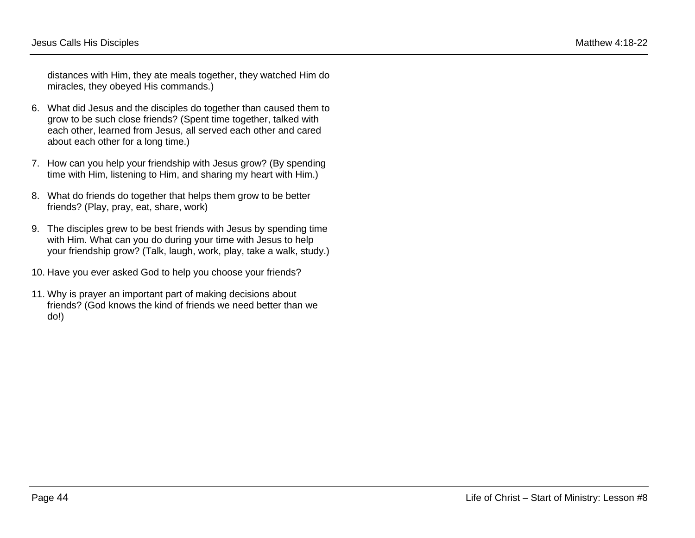distances with Him, they ate meals together, they watched Him do miracles, they obeyed His commands.)

- 6. What did Jesus and the disciples do together than caused them to grow to be such close friends? (Spent time together, talked with each other, learned from Jesus, all served each other and cared about each other for a long time.)
- 7. How can you help your friendship with Jesus grow? (By spending time with Him, listening to Him, and sharing my heart with Him.)
- 8. What do friends do together that helps them grow to be better friends? (Play, pray, eat, share, work)
- 9. The disciples grew to be best friends with Jesus by spending time with Him. What can you do during your time with Jesus to help your friendship grow? (Talk, laugh, work, play, take a walk, study.)
- 10. Have you ever asked God to help you choose your friends?
- 11. Why is prayer an important part of making decisions about friends? (God knows the kind of friends we need better than we do!)